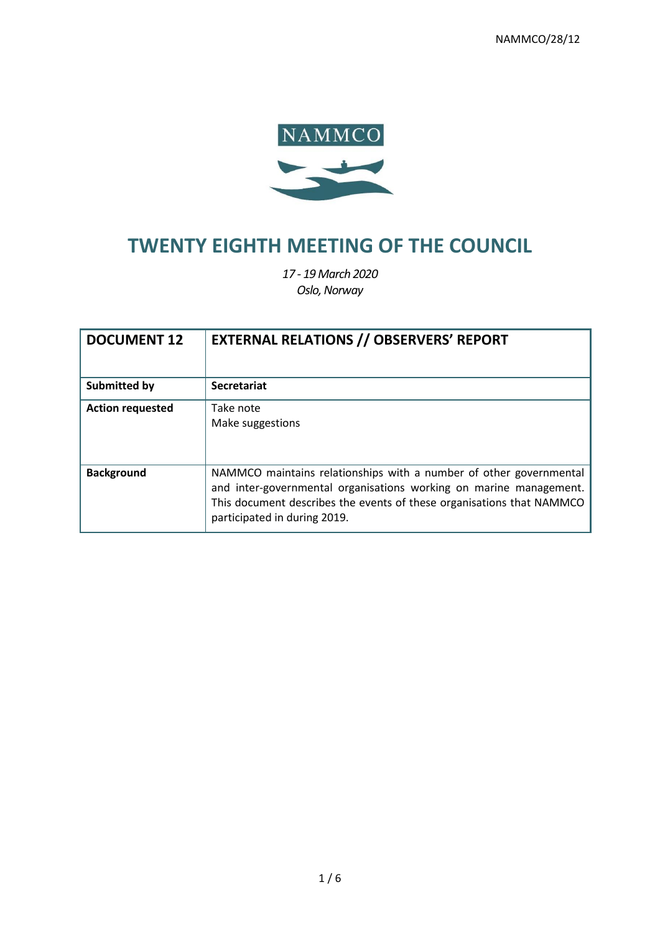

# **TWENTY EIGHTH MEETING OF THE COUNCIL**

*17 - 19 March 2020 Oslo, Norway*

| <b>DOCUMENT 12</b>      | <b>EXTERNAL RELATIONS // OBSERVERS' REPORT</b>                                                                                                                                                                                                    |
|-------------------------|---------------------------------------------------------------------------------------------------------------------------------------------------------------------------------------------------------------------------------------------------|
| <b>Submitted by</b>     | <b>Secretariat</b>                                                                                                                                                                                                                                |
| <b>Action requested</b> | Take note<br>Make suggestions                                                                                                                                                                                                                     |
| <b>Background</b>       | NAMMCO maintains relationships with a number of other governmental<br>and inter-governmental organisations working on marine management.<br>This document describes the events of these organisations that NAMMCO<br>participated in during 2019. |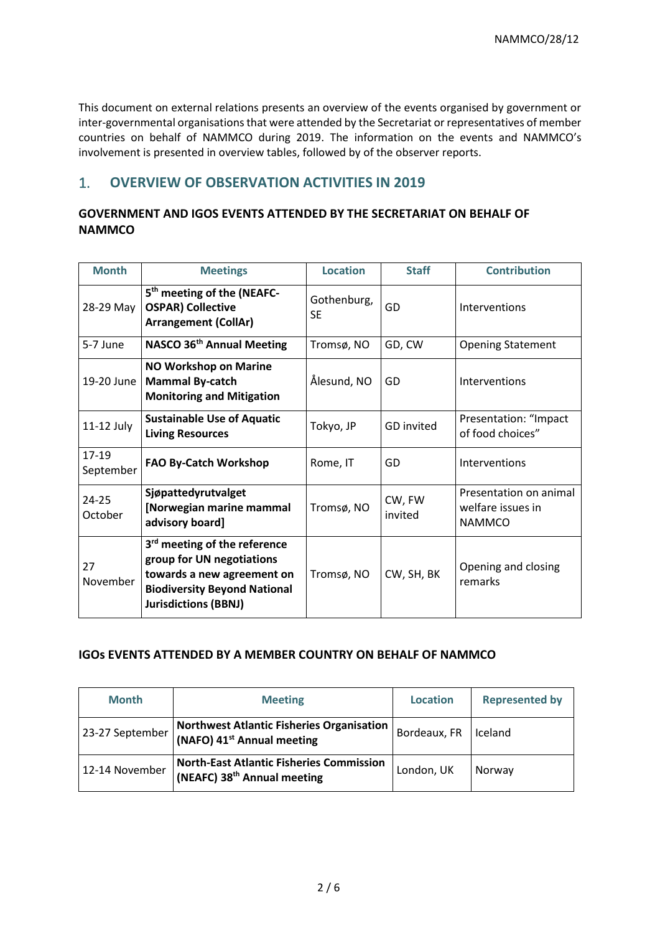This document on external relations presents an overview of the events organised by government or inter-governmental organisations that were attended by the Secretariat or representatives of member countries on behalf of NAMMCO during 2019. The information on the events and NAMMCO's involvement is presented in overview tables, followed by of the observer reports.

# 1. **OVERVIEW OF OBSERVATION ACTIVITIES IN 2019**

# **GOVERNMENT AND IGOS EVENTS ATTENDED BY THE SECRETARIAT ON BEHALF OF NAMMCO**

| <b>Month</b>         | <b>Meetings</b>                                                                                                                                                           | <b>Location</b>          | <b>Staff</b>      | <b>Contribution</b>                                          |
|----------------------|---------------------------------------------------------------------------------------------------------------------------------------------------------------------------|--------------------------|-------------------|--------------------------------------------------------------|
| 28-29 May            | 5 <sup>th</sup> meeting of the (NEAFC-<br><b>OSPAR) Collective</b><br><b>Arrangement (CollAr)</b>                                                                         | Gothenburg,<br><b>SF</b> | GD                | Interventions                                                |
| 5-7 June             | NASCO 36 <sup>th</sup> Annual Meeting                                                                                                                                     | Tromsø, NO               | GD, CW            | <b>Opening Statement</b>                                     |
| 19-20 June           | NO Workshop on Marine<br><b>Mammal By-catch</b><br><b>Monitoring and Mitigation</b>                                                                                       | Ålesund, NO              | GD                | Interventions                                                |
| 11-12 July           | <b>Sustainable Use of Aquatic</b><br><b>Living Resources</b>                                                                                                              | Tokyo, JP                | <b>GD</b> invited | Presentation: "Impact<br>of food choices"                    |
| 17-19<br>September   | <b>FAO By-Catch Workshop</b>                                                                                                                                              | Rome, IT                 | GD                | Interventions                                                |
| $24 - 25$<br>October | Sjøpattedyrutvalget<br>[Norwegian marine mammal<br>advisory board]                                                                                                        | Tromsø, NO               | CW, FW<br>invited | Presentation on animal<br>welfare issues in<br><b>NAMMCO</b> |
| 27<br>November       | 3 <sup>rd</sup> meeting of the reference<br>group for UN negotiations<br>towards a new agreement on<br><b>Biodiversity Beyond National</b><br><b>Jurisdictions (BBNJ)</b> | Tromsø, NO               | CW, SH, BK        | Opening and closing<br>remarks                               |

# **IGOs EVENTS ATTENDED BY A MEMBER COUNTRY ON BEHALF OF NAMMCO**

| <b>Month</b>    | <b>Meeting</b>                                                                             | <b>Location</b> | <b>Represented by</b> |
|-----------------|--------------------------------------------------------------------------------------------|-----------------|-----------------------|
| 23-27 September | <b>Northwest Atlantic Fisheries Organisation</b><br>(NAFO) 41 <sup>st</sup> Annual meeting | Bordeaux, FR    | <b>Iceland</b>        |
| 12-14 November  | <b>North-East Atlantic Fisheries Commission</b><br>(NEAFC) 38 <sup>th</sup> Annual meeting | London, UK      | Norway                |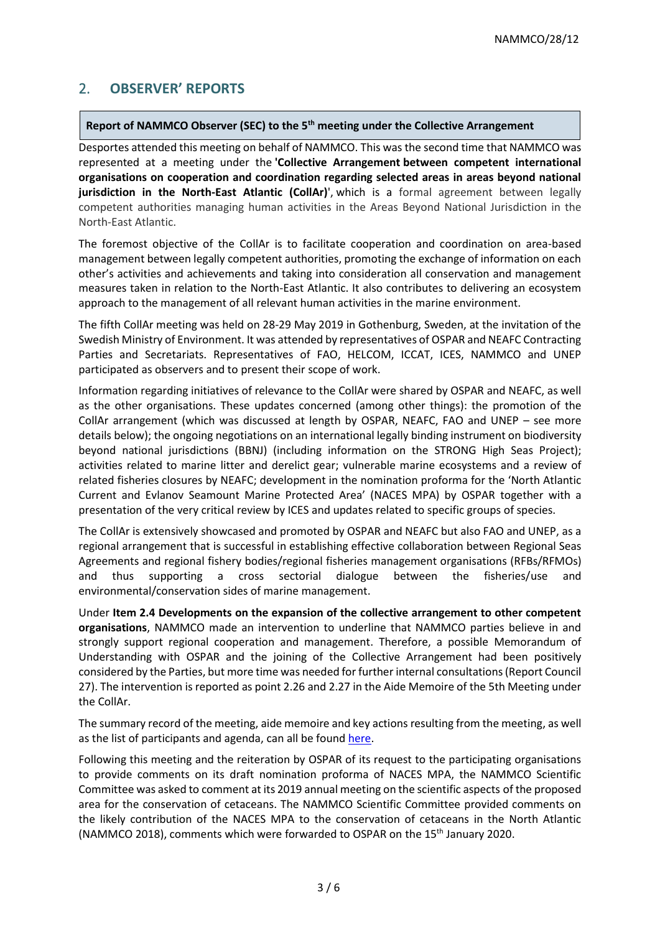# 2. **OBSERVER' REPORTS**

#### **Report of NAMMCO Observer (SEC) to the 5th meeting under the Collective Arrangement**

Desportes attended this meeting on behalf of NAMMCO. This was the second time that NAMMCO was represented at a meeting under the **'Collective Arrangement between competent international organisations on cooperation and coordination regarding selected areas in areas beyond national jurisdiction in the North-East Atlantic (CollAr)**', which is a formal agreement between legally competent authorities managing human activities in the Areas Beyond National Jurisdiction in the North-East Atlantic.

The foremost objective of the CollAr is to facilitate cooperation and coordination on area-based management between legally competent authorities, promoting the exchange of information on each other's activities and achievements and taking into consideration all conservation and management measures taken in relation to the North-East Atlantic. It also contributes to delivering an ecosystem approach to the management of all relevant human activities in the marine environment.

The fifth CollAr meeting was held on 28-29 May 2019 in Gothenburg, Sweden, at the invitation of the Swedish Ministry of Environment. It was attended by representatives of OSPAR and NEAFC Contracting Parties and Secretariats. Representatives of FAO, HELCOM, ICCAT, ICES, NAMMCO and UNEP participated as observers and to present their scope of work.

Information regarding initiatives of relevance to the CollAr were shared by OSPAR and NEAFC, as well as the other organisations. These updates concerned (among other things): the promotion of the CollAr arrangement (which was discussed at length by OSPAR, NEAFC, FAO and UNEP – see more details below); the ongoing negotiations on an international legally binding instrument on biodiversity beyond national jurisdictions (BBNJ) (including information on the STRONG High Seas Project); activities related to marine litter and derelict gear; vulnerable marine ecosystems and a review of related fisheries closures by NEAFC; development in the nomination proforma for the 'North Atlantic Current and Evlanov Seamount Marine Protected Area' (NACES MPA) by OSPAR together with a presentation of the very critical review by ICES and updates related to specific groups of species.

The CollAr is extensively showcased and promoted by OSPAR and NEAFC but also FAO and UNEP, as a regional arrangement that is successful in establishing effective collaboration between Regional Seas Agreements and regional fishery bodies/regional fisheries management organisations (RFBs/RFMOs) and thus supporting a cross sectorial dialogue between the fisheries/use and environmental/conservation sides of marine management.

Under **Item 2.4 Developments on the expansion of the collective arrangement to other competent organisations**, NAMMCO made an intervention to underline that NAMMCO parties believe in and strongly support regional cooperation and management. Therefore, a possible Memorandum of Understanding with OSPAR and the joining of the Collective Arrangement had been positively considered by the Parties, but more time was needed for further internal consultations (Report Council 27). The intervention is reported as point 2.26 and 2.27 in the Aide Memoire of the 5th Meeting under the CollAr.

The summary record of the meeting, aide memoire and key actions resulting from the meeting, as well as the list of participants and agenda, can all be found [here.](https://www.ospar.org/meetings/archive/collective-arrangement)

Following this meeting and the reiteration by OSPAR of its request to the participating organisations to provide comments on its draft nomination proforma of NACES MPA, the NAMMCO Scientific Committee was asked to comment at its 2019 annual meeting on the scientific aspects of the proposed area for the conservation of cetaceans. The NAMMCO Scientific Committee provided comments on the likely contribution of the NACES MPA to the conservation of cetaceans in the North Atlantic (NAMMCO 2018), comments which were forwarded to OSPAR on the 15th January 2020.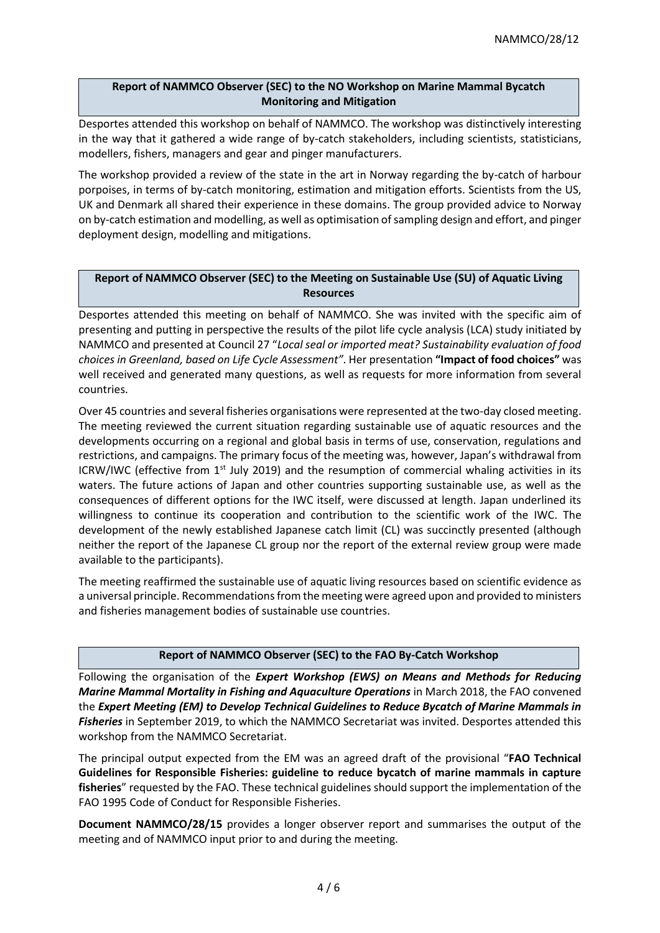### **Report of NAMMCO Observer (SEC) to the NO Workshop on Marine Mammal Bycatch Monitoring and Mitigation**

Desportes attended this workshop on behalf of NAMMCO. The workshop was distinctively interesting in the way that it gathered a wide range of by-catch stakeholders, including scientists, statisticians, modellers, fishers, managers and gear and pinger manufacturers.

The workshop provided a review of the state in the art in Norway regarding the by-catch of harbour porpoises, in terms of by-catch monitoring, estimation and mitigation efforts. Scientists from the US, UK and Denmark all shared their experience in these domains. The group provided advice to Norway on by-catch estimation and modelling, as well as optimisation of sampling design and effort, and pinger deployment design, modelling and mitigations.

# **Report of NAMMCO Observer (SEC) to the Meeting on Sustainable Use (SU) of Aquatic Living Resources**

Desportes attended this meeting on behalf of NAMMCO. She was invited with the specific aim of presenting and putting in perspective the results of the pilot life cycle analysis (LCA) study initiated by NAMMCO and presented at Council 27 "*Local seal or imported meat? Sustainability evaluation of food choices in Greenland, based on Life Cycle Assessment"*. Her presentation **"Impact of food choices"** was well received and generated many questions, as well as requests for more information from several countries.

Over 45 countries and several fisheries organisations were represented at the two-day closed meeting. The meeting reviewed the current situation regarding sustainable use of aquatic resources and the developments occurring on a regional and global basis in terms of use, conservation, regulations and restrictions, and campaigns. The primary focus of the meeting was, however, Japan's withdrawal from ICRW/IWC (effective from  $1<sup>st</sup>$  July 2019) and the resumption of commercial whaling activities in its waters. The future actions of Japan and other countries supporting sustainable use, as well as the consequences of different options for the IWC itself, were discussed at length. Japan underlined its willingness to continue its cooperation and contribution to the scientific work of the IWC. The development of the newly established Japanese catch limit (CL) was succinctly presented (although neither the report of the Japanese CL group nor the report of the external review group were made available to the participants).

The meeting reaffirmed the sustainable use of aquatic living resources based on scientific evidence as a universal principle. Recommendations from the meeting were agreed upon and provided to ministers and fisheries management bodies of sustainable use countries.

# **Report of NAMMCO Observer (SEC) to the FAO By-Catch Workshop**

Following the organisation of the *Expert Workshop (EWS) on Means and Methods for Reducing Marine Mammal Mortality in Fishing and Aquaculture Operations* in March 2018, the FAO convened the *Expert Meeting (EM) to Develop Technical Guidelines to Reduce Bycatch of Marine Mammals in Fisheries* in September 2019, to which the NAMMCO Secretariat was invited. Desportes attended this workshop from the NAMMCO Secretariat.

The principal output expected from the EM was an agreed draft of the provisional "**FAO Technical Guidelines for Responsible Fisheries: guideline to reduce bycatch of marine mammals in capture fisheries**" requested by the FAO. These technical guidelines should support the implementation of the FAO 1995 Code of Conduct for Responsible Fisheries.

**Document NAMMCO/28/15** provides a longer observer report and summarises the output of the meeting and of NAMMCO input prior to and during the meeting.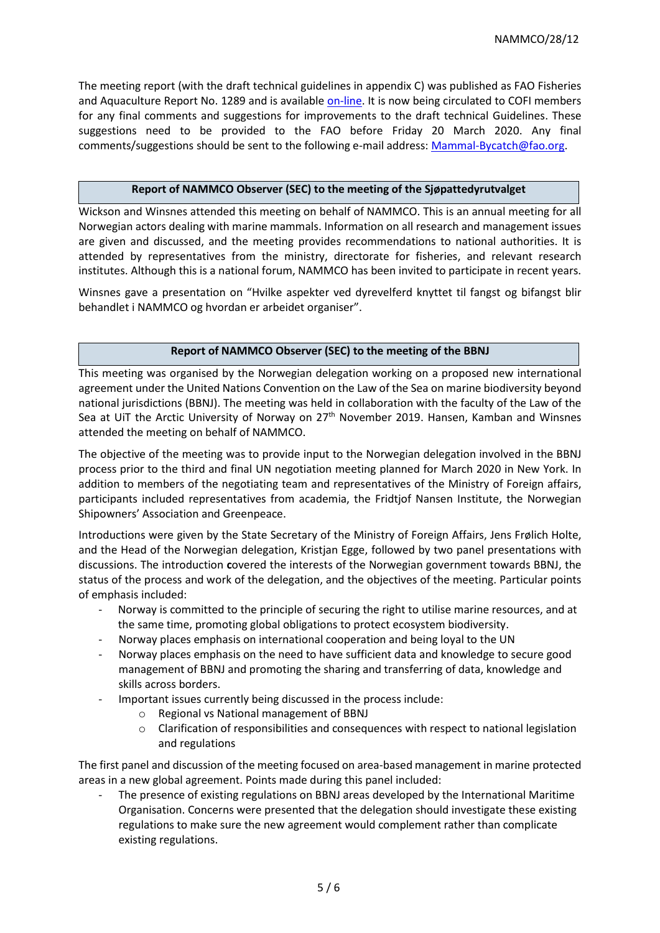The meeting report (with the draft technical guidelines in appendix C) was published as FAO Fisheries and Aquaculture Report No. 1289 and is available [on-line.](http://www.fao.org/3/ca7620en/ca7620en.pdf) It is now being circulated to COFI members for any final comments and suggestions for improvements to the draft technical Guidelines. These suggestions need to be provided to the FAO before Friday 20 March 2020. Any final comments/suggestions should be sent to the following e-mail address: [Mammal-Bycatch@fao.org.](mailto:Mammal-Bycatch@fao.org)

#### **Report of NAMMCO Observer (SEC) to the meeting of the Sjøpattedyrutvalget**

Wickson and Winsnes attended this meeting on behalf of NAMMCO. This is an annual meeting for all Norwegian actors dealing with marine mammals. Information on all research and management issues are given and discussed, and the meeting provides recommendations to national authorities. It is attended by representatives from the ministry, directorate for fisheries, and relevant research institutes. Although this is a national forum, NAMMCO has been invited to participate in recent years.

Winsnes gave a presentation on "Hvilke aspekter ved dyrevelferd knyttet til fangst og bifangst blir behandlet i NAMMCO og hvordan er arbeidet organiser".

#### **Report of NAMMCO Observer (SEC) to the meeting of the BBNJ**

This meeting was organised by the Norwegian delegation working on a proposed new international agreement under the United Nations Convention on the Law of the Sea on marine biodiversity beyond national jurisdictions (BBNJ). The meeting was held in collaboration with the faculty of the Law of the Sea at UiT the Arctic University of Norway on 27<sup>th</sup> November 2019. Hansen, Kamban and Winsnes attended the meeting on behalf of NAMMCO.

The objective of the meeting was to provide input to the Norwegian delegation involved in the BBNJ process prior to the third and final UN negotiation meeting planned for March 2020 in New York. In addition to members of the negotiating team and representatives of the Ministry of Foreign affairs, participants included representatives from academia, the Fridtjof Nansen Institute, the Norwegian Shipowners' Association and Greenpeace.

Introductions were given by the State Secretary of the Ministry of Foreign Affairs, Jens Frølich Holte, and the Head of the Norwegian delegation, Kristjan Egge, followed by two panel presentations with discussions. The introduction **c**overed the interests of the Norwegian government towards BBNJ, the status of the process and work of the delegation, and the objectives of the meeting. Particular points of emphasis included:

- Norway is committed to the principle of securing the right to utilise marine resources, and at the same time, promoting global obligations to protect ecosystem biodiversity.
- Norway places emphasis on international cooperation and being loyal to the UN
- Norway places emphasis on the need to have sufficient data and knowledge to secure good management of BBNJ and promoting the sharing and transferring of data, knowledge and skills across borders.
- Important issues currently being discussed in the process include:
	- o Regional vs National management of BBNJ
	- o Clarification of responsibilities and consequences with respect to national legislation and regulations

The first panel and discussion of the meeting focused on area-based management in marine protected areas in a new global agreement. Points made during this panel included:

The presence of existing regulations on BBNJ areas developed by the International Maritime Organisation. Concerns were presented that the delegation should investigate these existing regulations to make sure the new agreement would complement rather than complicate existing regulations.